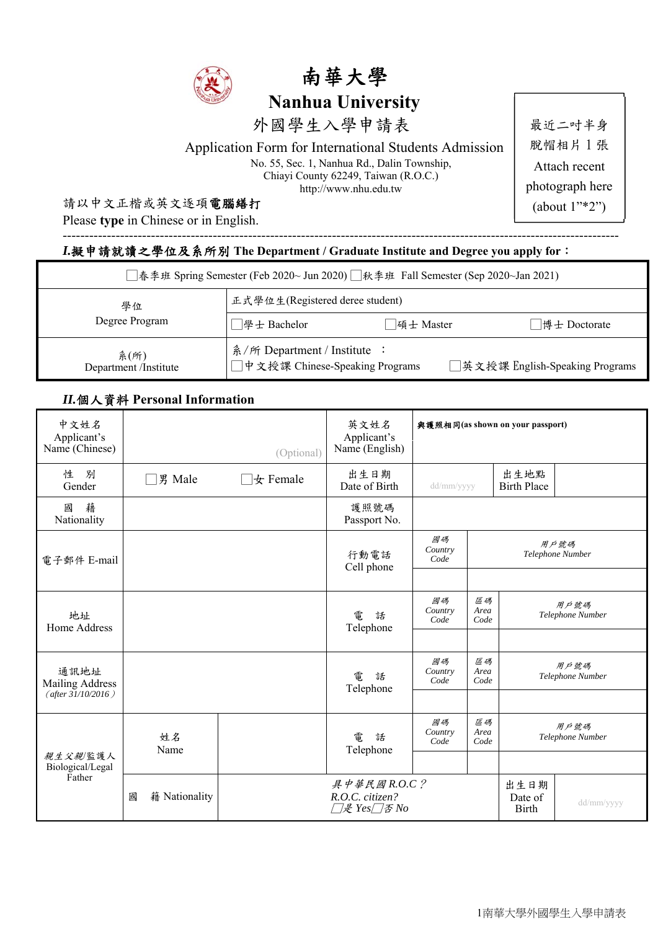



外國學生入學申請表

Application Form for International Students Admission

No. 55, Sec. 1, Nanhua Rd., Dalin Township, Chiayi County 62249, Taiwan (R.O.C.) http://www.nhu.edu.tw

### 請以中文正楷或英文逐項電腦繕打

Please **type** in Chinese or in English.

最近二吋半身 脫帽相片 1 張 Attach recent photograph here (about 1"\*2")

### *I.*擬申請就讀之學位及系所別 **The Department / Graduate Institute and Degree you apply for**:

| □春季班 Spring Semester (Feb 2020~ Jun 2020) □秋季班 Fall Semester (Sep 2020~Jan 2021) |                                                                                                    |  |  |  |
|----------------------------------------------------------------------------------|----------------------------------------------------------------------------------------------------|--|--|--|
| 學位                                                                               | 正式學位生(Registered deree student)                                                                    |  |  |  |
| Degree Program                                                                   | □學士 Bachelor<br> 碩士 Master<br>博士 Doctorate                                                         |  |  |  |
| 系(所)<br>Department /Institute                                                    | 糸/所 Department / Institute :<br>□中文授課 Chinese-Speaking Programs<br>□英文授課 English-Speaking Programs |  |  |  |

------------------------------------------------------------------------------------------------------------------------------

### *II.*個人資料 **Personal Information**

| 中文姓名<br>Applicant's<br>Name (Chinese) |                    | (Optional)         | 英文姓名<br>Applicant's<br>Name (English)                                                          | 與護照相同(as shown on your passport) |                                                |                            |                          |
|---------------------------------------|--------------------|--------------------|------------------------------------------------------------------------------------------------|----------------------------------|------------------------------------------------|----------------------------|--------------------------|
| 性<br>別<br>Gender                      | 男 Male             | $\vert \pm$ Female | 出生日期<br>Date of Birth                                                                          | dd/mm/yyyy                       |                                                | 出生地點<br><b>Birth Place</b> |                          |
| 藉<br>國<br>Nationality                 |                    |                    | 護照號碼<br>Passport No.                                                                           |                                  |                                                |                            |                          |
| 電子郵件 E-mail                           |                    |                    | 行動電話<br>Cell phone                                                                             | 國碼<br>Country<br>Code            |                                                |                            | 用戶號碼<br>Telephone Number |
|                                       |                    |                    |                                                                                                |                                  |                                                |                            |                          |
| 地址<br>Home Address                    |                    |                    | 電<br>話<br>Telephone                                                                            | 國碼<br>Country<br>Code            | 區碼<br>用戶號碼<br>Area<br>Telephone Number<br>Code |                            |                          |
|                                       |                    |                    |                                                                                                |                                  |                                                |                            |                          |
| 通訊地址<br>Mailing Address               |                    |                    | 電<br>話<br>Telephone                                                                            | 國碼<br>Country<br>Code            | 區碼<br>Area<br>Code                             |                            | 用戶號碼<br>Telephone Number |
| (after $31/10/2016$ )                 |                    |                    |                                                                                                |                                  |                                                |                            |                          |
|                                       | 姓名<br>Name         |                    | 國碼<br>區碼<br>用戶號碼<br>Country<br>Area<br>電<br>話<br>Telephone Number<br>Code<br>Code<br>Telephone |                                  |                                                |                            |                          |
| 親生父親/監護人<br>Biological/Legal          |                    |                    |                                                                                                |                                  |                                                |                            |                          |
| Father                                | 籍 Nationality<br>國 |                    | 具中華民國 $R.O.C.$ ?<br>出生日期<br>R.O.C. citizen?<br>Date of<br>□是 Yes□否 No<br><b>Birth</b>          |                                  | dd/mm/yyyy                                     |                            |                          |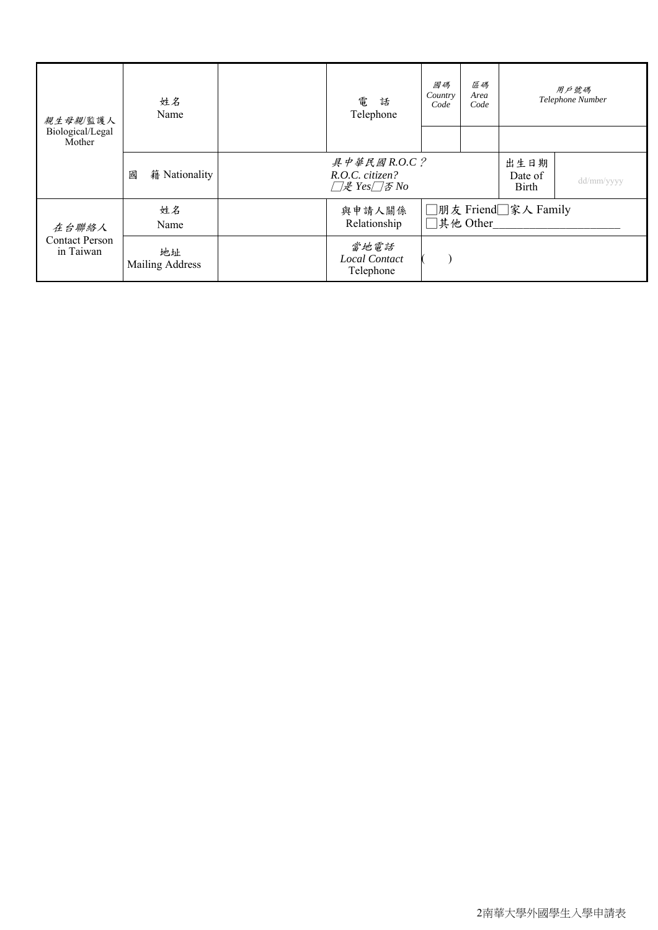| 親生母親/監護人<br>Biological/Legal<br>Mother | 姓名<br>Name                   | 區碼<br>國碼<br>Area<br>Country<br>電<br>話<br>Code<br>Code<br>Telephone            |                                   |  | 用戶號碼<br>Telephone Number |            |
|----------------------------------------|------------------------------|-------------------------------------------------------------------------------|-----------------------------------|--|--------------------------|------------|
|                                        | 籍 Nationality<br>國           | $A \not F \not \equiv A \boxtimes R.O.C.^2$<br>R.O.C. citizen?<br>□是 Yes□否 No |                                   |  | 出生日期<br>Date of<br>Birth | dd/mm/yyyy |
| 在台聯絡人                                  | 姓名<br>Name                   | 與申請人關係<br>Relationship                                                        | □朋友 Friend□家人 Family<br>□其他 Other |  |                          |            |
| <b>Contact Person</b><br>in Taiwan     | 地址<br><b>Mailing Address</b> | 當地電話<br><b>Local Contact</b><br>Telephone                                     |                                   |  |                          |            |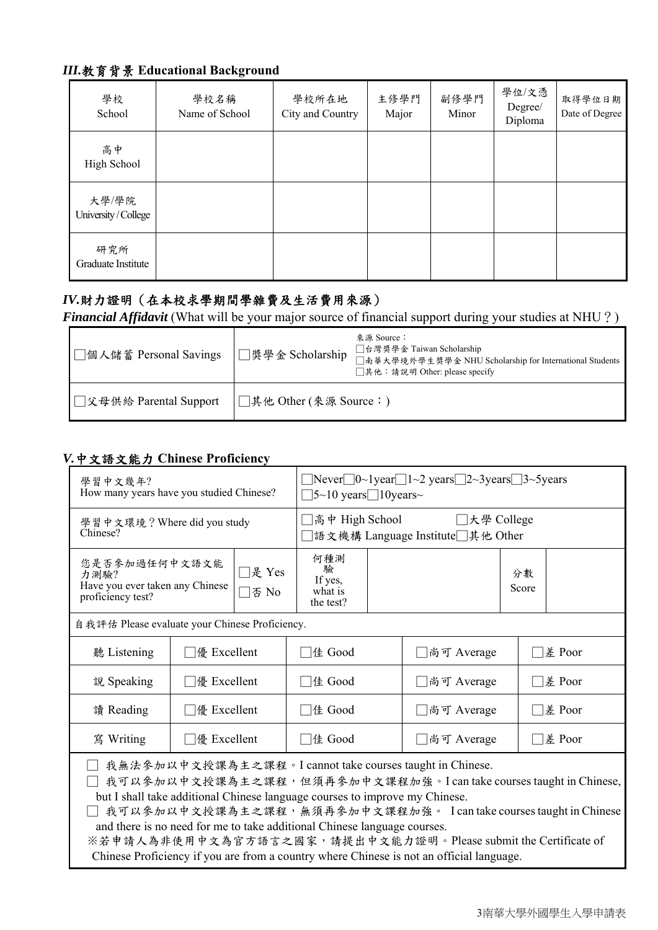# *III.*教育背景 **Educational Background**

| 學校<br>School                | 學校名稱<br>Name of School | 學校所在地<br>City and Country | 主修學門<br>Major | 副修學門<br>Minor | 學位/文憑<br>Degree/<br>Diploma | 取得學位日期<br>Date of Degree |
|-----------------------------|------------------------|---------------------------|---------------|---------------|-----------------------------|--------------------------|
| 高中<br>High School           |                        |                           |               |               |                             |                          |
| 大學/學院<br>University/College |                        |                           |               |               |                             |                          |
| 研究所<br>Graduate Institute   |                        |                           |               |               |                             |                          |

### *IV.*財力證明(在本校求學期間學雜費及生活費用來源)

*Financial Affidavit* (What will be your major source of financial support during your studies at NHU?)

| □個人儲蓄 Personal Savings    | │□奬學金 Scholarship      | 來源 Source:<br>□台灣獎學金 Taiwan Scholarship<br>□南華大學境外學生獎學金 NHU Scholarship for International Students<br>□其他: 請說明 Other: please specify |
|---------------------------|------------------------|--------------------------------------------------------------------------------------------------------------------------------------|
| ■ ■ 父母供給 Parental Support | □其他 Other (來源 Source:) |                                                                                                                                      |

### *V.*中文語文能力 **Chinese Proficiency**

| 學習中文幾年?<br>How many years have you studied Chinese?                                                                                                                                                                                                                                                                                                                                                                                                                                                                           |                       |                                   |                                             | $\Box$ Never $\Box$ 0~1 year $\Box$ 1~2 years $\Box$ 2~3 years $\Box$ 3~5 years<br>$\Box$ 5~10 years $\Box$ 10 years~ |                        |             |  |  |
|-------------------------------------------------------------------------------------------------------------------------------------------------------------------------------------------------------------------------------------------------------------------------------------------------------------------------------------------------------------------------------------------------------------------------------------------------------------------------------------------------------------------------------|-----------------------|-----------------------------------|---------------------------------------------|-----------------------------------------------------------------------------------------------------------------------|------------------------|-------------|--|--|
| 學習中文環境? Where did you study<br>Chinese?                                                                                                                                                                                                                                                                                                                                                                                                                                                                                       |                       |                                   |                                             | 高中 High School<br>□大學 College<br> 語文機構 Language Institute□其他 Other                                                    |                        |             |  |  |
| 您是否参加過任何中文語文能<br>力測驗?<br>Have you ever taken any Chinese<br>proficiency test?                                                                                                                                                                                                                                                                                                                                                                                                                                                 |                       | □是 Yes<br>否 No                    | 何種測<br>驗<br>If yes,<br>what is<br>the test? |                                                                                                                       |                        | 分數<br>Score |  |  |
| 自我評估 Please evaluate your Chinese Proficiency.                                                                                                                                                                                                                                                                                                                                                                                                                                                                                |                       |                                   |                                             |                                                                                                                       |                        |             |  |  |
| 聽 Listening                                                                                                                                                                                                                                                                                                                                                                                                                                                                                                                   | □優 Excellent          |                                   | □佳 Good                                     |                                                                                                                       | ∃差 Poor<br>□尚可 Average |             |  |  |
| 說 Speaking                                                                                                                                                                                                                                                                                                                                                                                                                                                                                                                    | $\Box$ 優 Excellent    | □差 Poor<br>□佳 Good<br>□尚可 Average |                                             |                                                                                                                       |                        |             |  |  |
| 讀 Reading                                                                                                                                                                                                                                                                                                                                                                                                                                                                                                                     | □優 Excellent          |                                   | □佳 Good<br>□尚可 Average                      |                                                                                                                       |                        | □差 Poor     |  |  |
| 寫 Writing                                                                                                                                                                                                                                                                                                                                                                                                                                                                                                                     | $\Box$ $\&$ Excellent |                                   | □佳 Good                                     | ∃差 Poor<br>□尚可 Average                                                                                                |                        |             |  |  |
| □ 我無法參加以中文授課為主之課程。I cannot take courses taught in Chinese.<br>我可以参加以中文授課為主之課程,但須再參加中文課程加強。I can take courses taught in Chinese,<br>but I shall take additional Chinese language courses to improve my Chinese.<br>我可以参加以中文授課為主之課程,無須再參加中文課程加強。 I can take courses taught in Chinese<br>and there is no need for me to take additional Chinese language courses.<br>※若申請人為非使用中文為官方語言之國家,請提出中文能力證明。Please submit the Certificate of<br>Chinese Proficiency if you are from a country where Chinese is not an official language. |                       |                                   |                                             |                                                                                                                       |                        |             |  |  |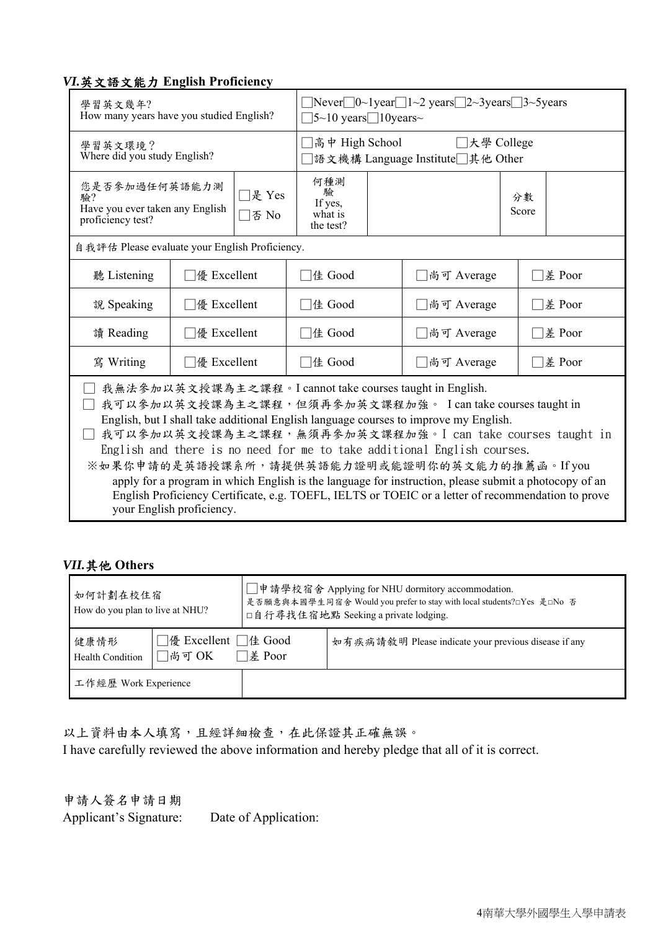### *VI.*英文語文能力 **English Proficiency**

| 學習英文幾年?                                                                                                                                                                                                                                                                                                                                                                                                                                                                                                                                                                                                                                          | How many years have you studied English?                          |               | $\Box$ Never $\Box$ 0~1 year $\Box$ 1~2 years $\Box$ 2~3 years $\Box$ 3~5 years<br>$\left 5\sim\right 0$ years $\left 10\right $ years ~ |             |  |  |
|--------------------------------------------------------------------------------------------------------------------------------------------------------------------------------------------------------------------------------------------------------------------------------------------------------------------------------------------------------------------------------------------------------------------------------------------------------------------------------------------------------------------------------------------------------------------------------------------------------------------------------------------------|-------------------------------------------------------------------|---------------|------------------------------------------------------------------------------------------------------------------------------------------|-------------|--|--|
| 學習英文環境?<br>Where did you study English?                                                                                                                                                                                                                                                                                                                                                                                                                                                                                                                                                                                                          |                                                                   |               | 高中 High School<br>□大學 College<br> 語文機構 Language Institute□其他 Other                                                                       |             |  |  |
| 駖?<br>proficiency test?                                                                                                                                                                                                                                                                                                                                                                                                                                                                                                                                                                                                                          | 您是否参加過任何英語能力測<br>是 Yes<br>Have you ever taken any English<br>否 No |               |                                                                                                                                          | 分數<br>Score |  |  |
| 自我評估 Please evaluate your English Proficiency.                                                                                                                                                                                                                                                                                                                                                                                                                                                                                                                                                                                                   |                                                                   |               |                                                                                                                                          |             |  |  |
| 聽 Listening                                                                                                                                                                                                                                                                                                                                                                                                                                                                                                                                                                                                                                      | $\Box$ @ Excellent                                                | □佳 Good       | □差 Poor<br>□尚可 Average                                                                                                                   |             |  |  |
| 說 Speaking                                                                                                                                                                                                                                                                                                                                                                                                                                                                                                                                                                                                                                       | □差 Poor<br>$\Box$ 優 Excellent<br>□佳 Good<br>□尚可 Average           |               |                                                                                                                                          |             |  |  |
| 讀 Reading                                                                                                                                                                                                                                                                                                                                                                                                                                                                                                                                                                                                                                        | $\Box$ $\&$ Excellent                                             | $\Box$ 佳 Good | 差 Poor<br>□尚可 Average                                                                                                                    |             |  |  |
| 寫 Writing                                                                                                                                                                                                                                                                                                                                                                                                                                                                                                                                                                                                                                        | $\Box$ 優 Excellent                                                | □佳 Good       | □尚可 Average<br>$\n  é Poor\n$                                                                                                            |             |  |  |
| 我無法參加以英文授課為主之課程。I cannot take courses taught in English.<br>我可以参加以英文授課為主之課程,但須再參加英文課程加強。 I can take courses taught in<br>English, but I shall take additional English language courses to improve my English.<br>我可以參加以英文授課為主之課程,無須再參加英文課程加強。I can take courses taught in<br>English and there is no need for me to take additional English courses.<br>※如果你申請的是英語授課系所,請提供英語能力證明或能證明你的英文能力的推薦函。Ifyou<br>apply for a program in which English is the language for instruction, please submit a photocopy of an<br>English Proficiency Certificate, e.g. TOEFL, IELTS or TOEIC or a letter of recommendation to prove<br>your English proficiency. |                                                                   |               |                                                                                                                                          |             |  |  |

### *VII.*其他 **Others**

| 如何計劃在校住宿<br>How do you plan to live at NHU? |                                           |  | □申請學校宿舍 Applying for NHU dormitory accommodation.<br>是否願意與本國學生同宿舍 Would you prefer to stay with local students?□Yes 是□No 否<br>□自行尋找住宿地點 Seeking a private lodging. |
|---------------------------------------------|-------------------------------------------|--|--------------------------------------------------------------------------------------------------------------------------------------------------------------------|
| 健康情形<br><b>Health Condition</b>             | □優 Excellent □佳 Good<br>□尚可 OK<br>□差 Poor |  | 如有疾病請敘明 Please indicate your previous disease if any                                                                                                               |
| 工作經歷 Work Experience                        |                                           |  |                                                                                                                                                                    |

以上資料由本人填寫,且經詳細檢查,在此保證其正確無誤。 I have carefully reviewed the above information and hereby pledge that all of it is correct.

申請人簽名申請日期 Applicant's Signature: Date of Application: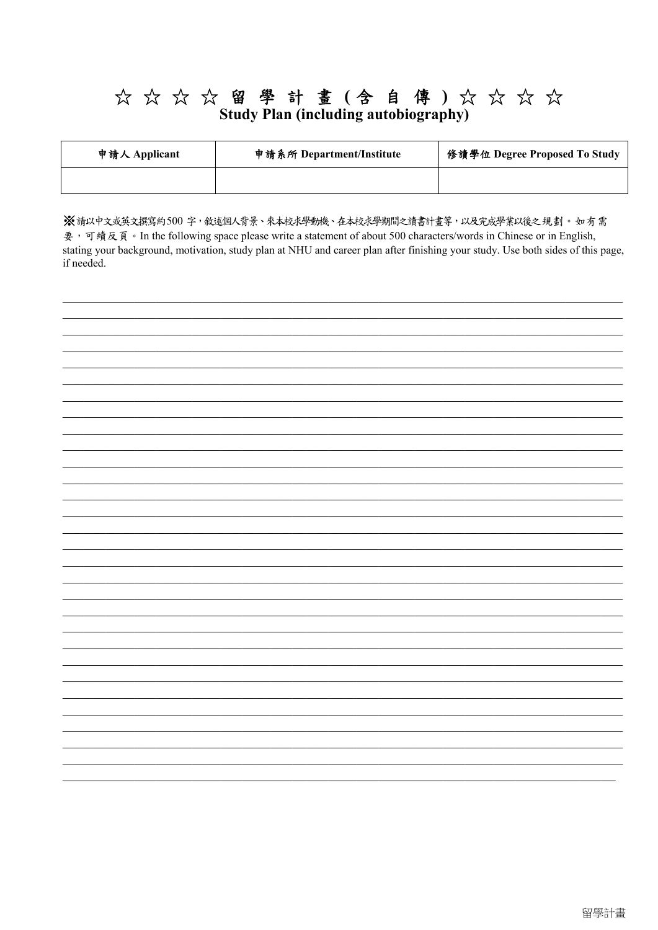# ☆☆☆☆留學計畫(含自傳)☆☆☆☆<br>Study Plan (including autobiography)

| 申請人 Applicant | 申請系所 Department/Institute | 修讀學位 Degree Proposed To Study |
|---------------|---------------------------|-------------------------------|
|               |                           |                               |

※請以中文或英文撰寫約500字,敘述個人背景、來本校求學動機、在本校求學期間之讀書計畫等,以及完成學業以後之規劃。如有需 要,可續反頁。In the following space please write a statement of about 500 characters/words in Chinese or in English, stating your background, motivation, study plan at NHU and career plan after finishing your study. Use both sides of this page, if needed.

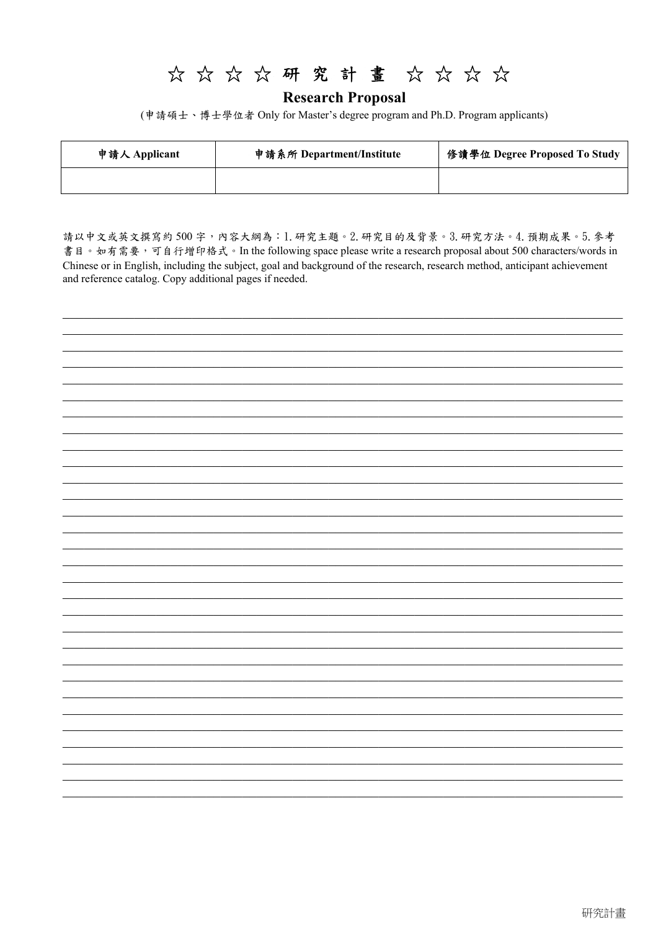# ☆☆☆☆研究計畫☆☆☆☆

**Research Proposal** 

(申請碩士、博士學位者 Only for Master's degree program and Ph.D. Program applicants)

| 申請人 Applicant | 申請系所 Department/Institute | 修讀學位 Degree Proposed To Study |
|---------------|---------------------------|-------------------------------|
|               |                           |                               |

請以中文或英文撰寫約500字,內容大綱為:1.研究主題。2.研究目的及背景。3.研究方法。4.預期成果。5. 參考 書目。如有需要,可自行增印格式。In the following space please write a research proposal about 500 characters/words in Chinese or in English, including the subject, goal and background of the research, research method, anticipant achievement and reference catalog. Copy additional pages if needed.

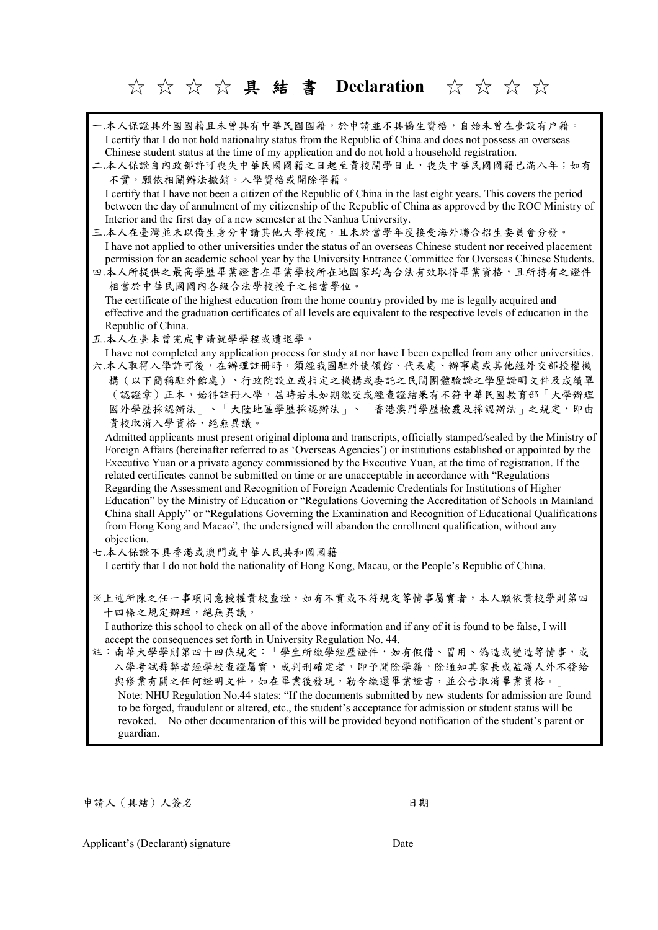☆☆☆☆ 具結書 **Declaration** ☆☆☆☆

| 一.本人保證具外國國籍且未曾具有中華民國國籍,於申請並不具僑生資格,自始未曾在臺設有戶籍。<br>I certify that I do not hold nationality status from the Republic of China and does not possess an overseas<br>Chinese student status at the time of my application and do not hold a household registration.<br>二.本人保證自內政部許可喪失中華民國國籍之日起至貴校開學日止,喪失中華民國國籍已滿八年;如有<br>不實,願依相關辦法撤銷。入學資格或開除學籍。<br>I certify that I have not been a citizen of the Republic of China in the last eight years. This covers the period<br>between the day of annulment of my citizenship of the Republic of China as approved by the ROC Ministry of<br>Interior and the first day of a new semester at the Nanhua University.<br>三.本人在臺灣並未以僑生身分申請其他大學校院,且未於當學年度接受海外聯合招生委員會分發。<br>I have not applied to other universities under the status of an overseas Chinese student nor received placement<br>permission for an academic school year by the University Entrance Committee for Overseas Chinese Students.<br>四.本人所提供之最高學歷畢業證書在畢業學校所在地國家均為合法有效取得畢業資格,且所持有之證件<br>相當於中華民國國內各級合法學校授予之相當學位。<br>The certificate of the highest education from the home country provided by me is legally acquired and<br>effective and the graduation certificates of all levels are equivalent to the respective levels of education in the<br>Republic of China.                                                                                                               |
|-------------------------------------------------------------------------------------------------------------------------------------------------------------------------------------------------------------------------------------------------------------------------------------------------------------------------------------------------------------------------------------------------------------------------------------------------------------------------------------------------------------------------------------------------------------------------------------------------------------------------------------------------------------------------------------------------------------------------------------------------------------------------------------------------------------------------------------------------------------------------------------------------------------------------------------------------------------------------------------------------------------------------------------------------------------------------------------------------------------------------------------------------------------------------------------------------------------------------------------------------------------------------------------------------------------------------------------------------------------------------------------------|
| 五.本人在臺未曾完成申請就學學程或遭退學。                                                                                                                                                                                                                                                                                                                                                                                                                                                                                                                                                                                                                                                                                                                                                                                                                                                                                                                                                                                                                                                                                                                                                                                                                                                                                                                                                                     |
| I have not completed any application process for study at nor have I been expelled from any other universities.<br>六.本人取得入學許可後,在辦理註冊時,須經我國駐外使領館、代表處、辦事處或其他經外交部授權機<br>構(以下簡稱駐外館處)、行政院設立或指定之機構或委託之民間團體驗證之學歷證明文件及成績單<br>(認證章)正本,始得註冊入學,屆時若未如期繳交或經查證結果有不符中華民國教育部「大學辦理<br>國外學歷採認辦法」、「大陸地區學歷採認辦法」、「香港澳門學歷檢覈及採認辦法」之規定,即由<br>貴校取消入學資格,絕無異議。<br>Admitted applicants must present original diploma and transcripts, officially stamped/sealed by the Ministry of<br>Foreign Affairs (hereinafter referred to as 'Overseas Agencies') or institutions established or appointed by the<br>Executive Yuan or a private agency commissioned by the Executive Yuan, at the time of registration. If the<br>related certificates cannot be submitted on time or are unacceptable in accordance with "Regulations<br>Regarding the Assessment and Recognition of Foreign Academic Credentials for Institutions of Higher<br>Education" by the Ministry of Education or "Regulations Governing the Accreditation of Schools in Mainland<br>China shall Apply" or "Regulations Governing the Examination and Recognition of Educational Qualifications<br>from Hong Kong and Macao", the undersigned will abandon the enrollment qualification, without any<br>objection.<br>七.本人保證不具香港或澳門或中華人民共和國國籍<br>I certify that I do not hold the nationality of Hong Kong, Macau, or the People's Republic of China. |
| ※上述所陳之任一事項同意授權貴校查證,如有不實或不符規定等情事屬實者,本人願依貴校學則第四<br>十四條之規定辦理,絕無異議。<br>I authorize this school to check on all of the above information and if any of it is found to be false, I will<br>accept the consequences set forth in University Regulation No. 44.<br>註:南華大學學則第四十四條規定:「學生所繳學經歷證件,如有假借、冒用、偽造或變造等情事,或<br>入學考試舞弊者經學校查證屬實,或判刑確定者,即予開除學籍,除通知其家長或監護人外不發給<br>與修業有關之任何證明文件。如在畢業後發現,勒令繳還畢業證書,並公告取消畢業資格。」<br>Note: NHU Regulation No.44 states: "If the documents submitted by new students for admission are found<br>to be forged, fraudulent or altered, etc., the student's acceptance for admission or student status will be<br>revoked. No other documentation of this will be provided beyond notification of the student's parent or<br>guardian.                                                                                                                                                                                                                                                                                                                                                                                                                                                                                                                                                                                                                                     |

申請人(具結)人簽名 日期

Applicant's (Declarant) signature Date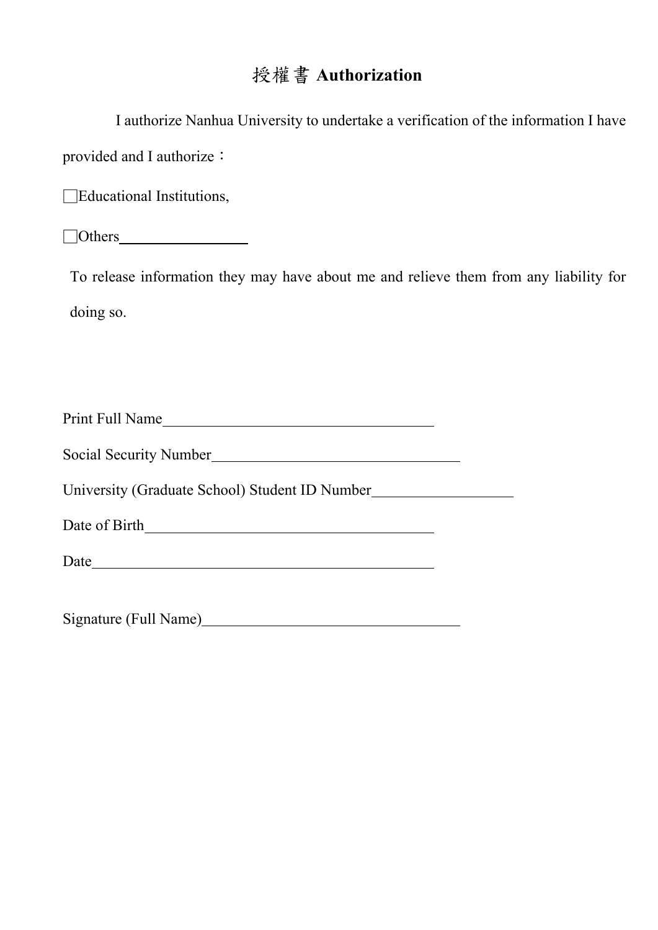# 授權書 **Authorization**

| I authorize Nanhua University to undertake a verification of the information I have   |
|---------------------------------------------------------------------------------------|
| provided and I authorize :                                                            |
| $\Box$ Educational Institutions,                                                      |
|                                                                                       |
| To release information they may have about me and relieve them from any liability for |
| doing so.                                                                             |
|                                                                                       |
|                                                                                       |
| Print Full Name                                                                       |
|                                                                                       |
| University (Graduate School) Student ID Number__________________________________      |
|                                                                                       |
|                                                                                       |
| Signature (Full Name)                                                                 |
|                                                                                       |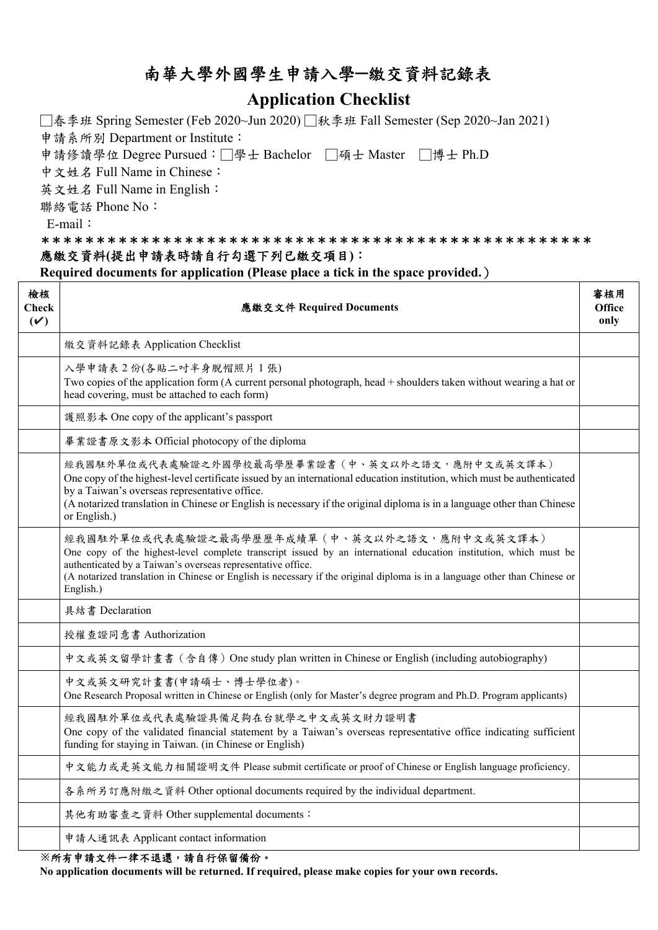# 南華大學外國學生申請入學**─**繳交資料記錄表

## **Application Checklist**

□春季班 Spring Semester (Feb 2020~Jun 2020) □秋季班 Fall Semester (Sep 2020~Jan 2021)

申請系所別 Department or Institute:

申請修讀學位 Degree Pursued:□學士 Bachelor □碩士 Master □博士 Ph.D

中文姓名 Full Name in Chinese:

英文姓名 Full Name in English:

聯絡電話 Phone No:

E-mail:

### \*\*\*\*\*\*\*\*\*\*\*\*\*\*\*\*\*\*\*\*\*\*\*\*\*\*\*\*\*\*\*\*\*\*\*\*\*\*\*\*\*\*\*\*\*\*\*\*\*\* 應繳交資料**(**提出申請表時請自行勾選下列已繳交項目**)**:

**Required documents for application (Please place a tick in the space provided.**)

| 檢核<br>Check<br>(V) | 應繳交文件 Required Documents                                                                                                                                                                                                                                                                                                                                                     | 審核用<br><b>Office</b><br>only |
|--------------------|------------------------------------------------------------------------------------------------------------------------------------------------------------------------------------------------------------------------------------------------------------------------------------------------------------------------------------------------------------------------------|------------------------------|
|                    | 繳交資料記錄表 Application Checklist                                                                                                                                                                                                                                                                                                                                                |                              |
|                    | 入學申請表 2 份(各貼二吋半身脫帽照片 1 張)<br>Two copies of the application form (A current personal photograph, head + shoulders taken without wearing a hat or<br>head covering, must be attached to each form)                                                                                                                                                                             |                              |
|                    | 護照影本 One copy of the applicant's passport                                                                                                                                                                                                                                                                                                                                    |                              |
|                    | 畢業證書原文影本 Official photocopy of the diploma                                                                                                                                                                                                                                                                                                                                   |                              |
|                    | 經我國駐外單位或代表處驗證之外國學校最高學歷畢業證書(中、英文以外之語文,應附中文或英文譯本)<br>One copy of the highest-level certificate issued by an international education institution, which must be authenticated<br>by a Taiwan's overseas representative office.<br>(A notarized translation in Chinese or English is necessary if the original diploma is in a language other than Chinese<br>or English.)       |                              |
|                    | 經我國駐外單位或代表處驗證之最高學歷歷年成績單 (中、英文以外之語文,應附中文或英文譯本)<br>One copy of the highest-level complete transcript issued by an international education institution, which must be<br>authenticated by a Taiwan's overseas representative office.<br>(A notarized translation in Chinese or English is necessary if the original diploma is in a language other than Chinese or<br>English.) |                              |
|                    | 具結書 Declaration                                                                                                                                                                                                                                                                                                                                                              |                              |
|                    | 授權查證同意書 Authorization                                                                                                                                                                                                                                                                                                                                                        |                              |
|                    | 中文或英文留學計畫書 (含自傳) One study plan written in Chinese or English (including autobiography)                                                                                                                                                                                                                                                                                      |                              |
|                    | 中文或英文研究計畫書(申請碩士、博士學位者)。<br>One Research Proposal written in Chinese or English (only for Master's degree program and Ph.D. Program applicants)                                                                                                                                                                                                                               |                              |
|                    | 經我國駐外單位或代表處驗證具備足夠在台就學之中文或英文財力證明書<br>One copy of the validated financial statement by a Taiwan's overseas representative office indicating sufficient<br>funding for staying in Taiwan. (in Chinese or English)                                                                                                                                                               |                              |
|                    | 中文能力或是英文能力相關證明文件 Please submit certificate or proof of Chinese or English language proficiency.                                                                                                                                                                                                                                                                              |                              |
|                    | 各系所另訂應附繳之資料 Other optional documents required by the individual department.                                                                                                                                                                                                                                                                                                  |                              |
|                    | 其他有助審查之資料 Other supplemental documents:                                                                                                                                                                                                                                                                                                                                      |                              |
|                    | 申請人通訊表 Applicant contact information                                                                                                                                                                                                                                                                                                                                         |                              |
|                    | ※ 经士由进入外一律丁退署, 进台仁旧的胜公。                                                                                                                                                                                                                                                                                                                                                      |                              |

#### **※**所有申請文件一律不退還,請自行保留備份。

**No application documents will be returned. If required, please make copies for your own records.**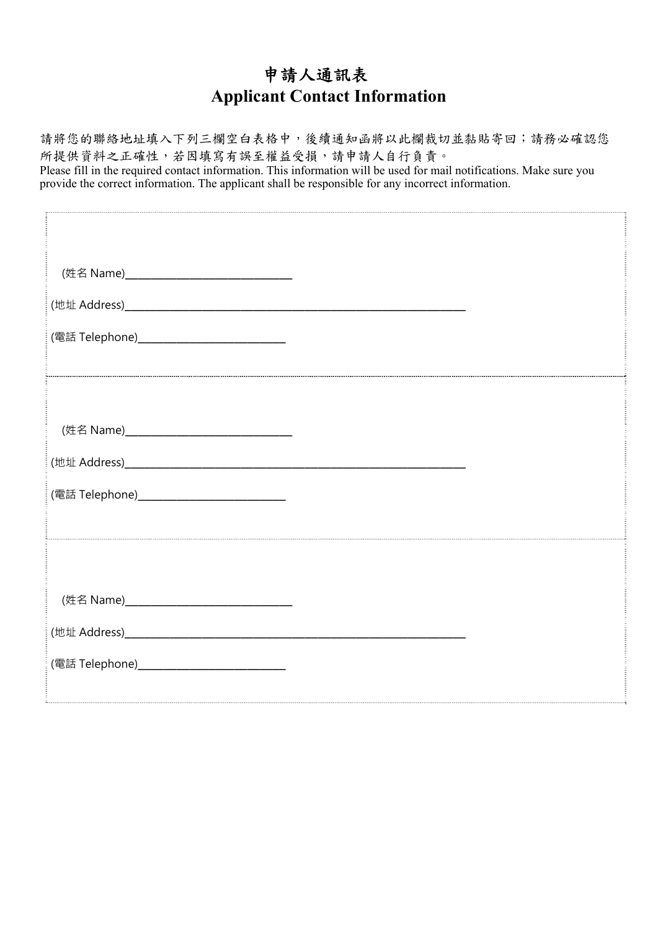# 申請人通訊表 **Applicant Contact Information**

請將您的聯絡地址填入下列三欄空白表格中,後續通知函將以此欄裁切並黏貼寄回;請務必確認您 所提供資料之正確性,若因填寫有誤至權益受損,請申請人自行負責。 Please fill in the required contact information. This information will be used for mail notifications. Make sure you provide the correct information. The applicant shall be responsible for any incorrect information.

| (姓名 Name)__________________________________ |  |
|---------------------------------------------|--|
|                                             |  |
| (電話 Telephone)_____________________________ |  |
|                                             |  |
|                                             |  |
| (姓名 Name)__________________________________ |  |
|                                             |  |
| (電話 Telephone)____________________________  |  |
|                                             |  |
|                                             |  |
| (姓名 Name)__________________________________ |  |
|                                             |  |
| (電話 Telephone)_____________________________ |  |
|                                             |  |